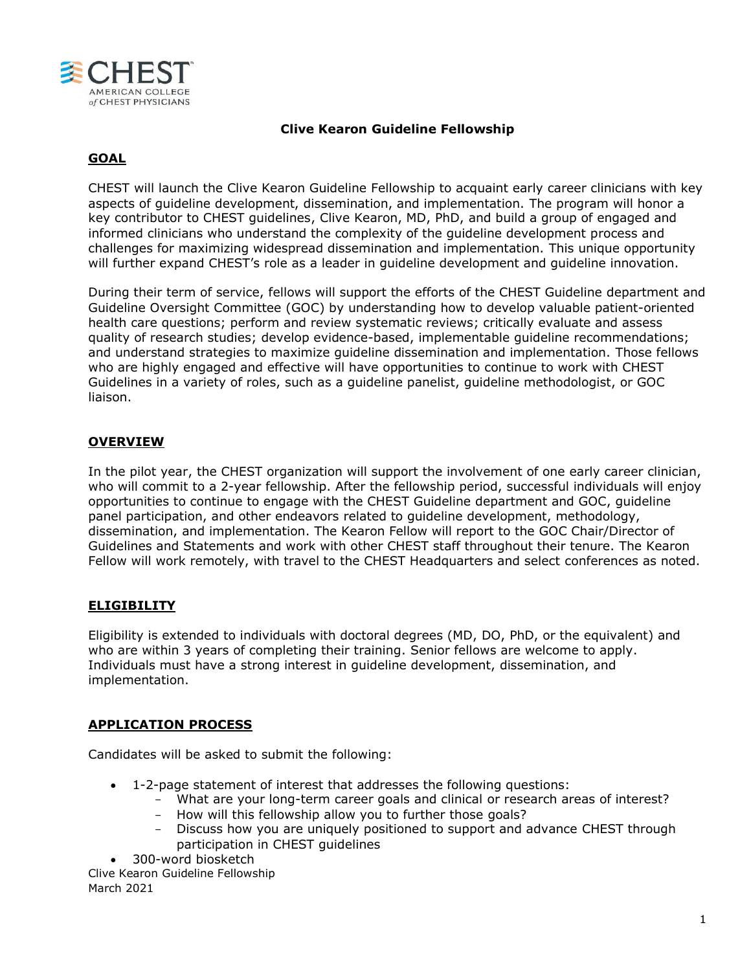

## **Clive Kearon Guideline Fellowship**

# **GOAL**

CHEST will launch the Clive Kearon Guideline Fellowship to acquaint early career clinicians with key aspects of guideline development, dissemination, and implementation. The program will honor a key contributor to CHEST guidelines, Clive Kearon, MD, PhD, and build a group of engaged and informed clinicians who understand the complexity of the guideline development process and challenges for maximizing widespread dissemination and implementation. This unique opportunity will further expand CHEST's role as a leader in guideline development and guideline innovation.

During their term of service, fellows will support the efforts of the CHEST Guideline department and Guideline Oversight Committee (GOC) by understanding how to develop valuable patient-oriented health care questions; perform and review systematic reviews; critically evaluate and assess quality of research studies; develop evidence-based, implementable guideline recommendations; and understand strategies to maximize guideline dissemination and implementation. Those fellows who are highly engaged and effective will have opportunities to continue to work with CHEST Guidelines in a variety of roles, such as a guideline panelist, guideline methodologist, or GOC liaison.

## **OVERVIEW**

In the pilot year, the CHEST organization will support the involvement of one early career clinician, who will commit to a 2-year fellowship. After the fellowship period, successful individuals will enjoy opportunities to continue to engage with the CHEST Guideline department and GOC, guideline panel participation, and other endeavors related to guideline development, methodology, dissemination, and implementation. The Kearon Fellow will report to the GOC Chair/Director of Guidelines and Statements and work with other CHEST staff throughout their tenure. The Kearon Fellow will work remotely, with travel to the CHEST Headquarters and select conferences as noted.

### **ELIGIBILITY**

Eligibility is extended to individuals with doctoral degrees (MD, DO, PhD, or the equivalent) and who are within 3 years of completing their training. Senior fellows are welcome to apply. Individuals must have a strong interest in guideline development, dissemination, and implementation.

## **APPLICATION PROCESS**

Candidates will be asked to submit the following:

- 1-2-page statement of interest that addresses the following questions:
	- What are your long-term career goals and clinical or research areas of interest?
	- How will this fellowship allow you to further those goals?
	- Discuss how you are uniquely positioned to support and advance CHEST through participation in CHEST guidelines
- 300-word biosketch

Clive Kearon Guideline Fellowship March 2021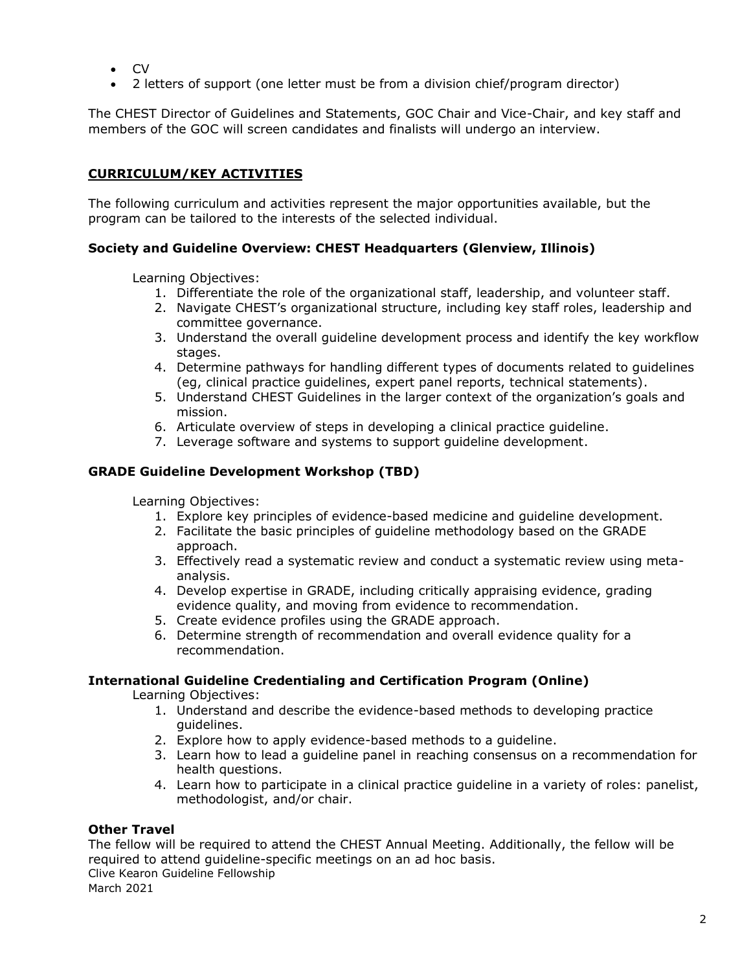- CV
- 2 letters of support (one letter must be from a division chief/program director)

The CHEST Director of Guidelines and Statements, GOC Chair and Vice-Chair, and key staff and members of the GOC will screen candidates and finalists will undergo an interview.

# **CURRICULUM/KEY ACTIVITIES**

The following curriculum and activities represent the major opportunities available, but the program can be tailored to the interests of the selected individual.

### **Society and Guideline Overview: CHEST Headquarters (Glenview, Illinois)**

Learning Objectives:

- 1. Differentiate the role of the organizational staff, leadership, and volunteer staff.
- 2. Navigate CHEST's organizational structure, including key staff roles, leadership and committee governance.
- 3. Understand the overall guideline development process and identify the key workflow stages.
- 4. Determine pathways for handling different types of documents related to guidelines (eg, clinical practice guidelines, expert panel reports, technical statements).
- 5. Understand CHEST Guidelines in the larger context of the organization's goals and mission.
- 6. Articulate overview of steps in developing a clinical practice guideline.
- 7. Leverage software and systems to support guideline development.

### **GRADE Guideline Development Workshop (TBD)**

Learning Objectives:

- 1. Explore key principles of evidence-based medicine and guideline development.
- 2. Facilitate the basic principles of guideline methodology based on the GRADE approach.
- 3. Effectively read a systematic review and conduct a systematic review using metaanalysis.
- 4. Develop expertise in GRADE, including critically appraising evidence, grading evidence quality, and moving from evidence to recommendation.
- 5. Create evidence profiles using the GRADE approach.
- 6. Determine strength of recommendation and overall evidence quality for a recommendation.

### **International Guideline Credentialing and Certification Program (Online)**

Learning Objectives:

- 1. Understand and describe the evidence-based methods to developing practice guidelines.
- 2. Explore how to apply evidence-based methods to a guideline.
- 3. Learn how to lead a guideline panel in reaching consensus on a recommendation for health questions.
- 4. Learn how to participate in a clinical practice guideline in a variety of roles: panelist, methodologist, and/or chair.

### **Other Travel**

Clive Kearon Guideline Fellowship The fellow will be required to attend the CHEST Annual Meeting. Additionally, the fellow will be required to attend guideline-specific meetings on an ad hoc basis.

March 2021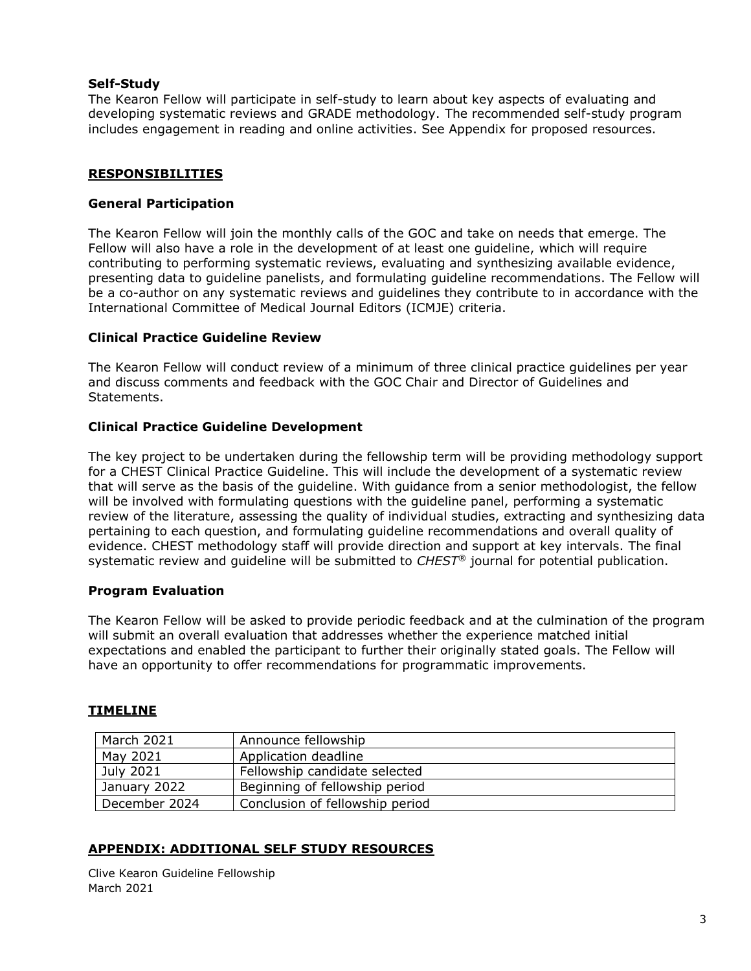## **Self-Study**

The Kearon Fellow will participate in self-study to learn about key aspects of evaluating and developing systematic reviews and GRADE methodology. The recommended self-study program includes engagement in reading and online activities. See Appendix for proposed resources.

### **RESPONSIBILITIES**

### **General Participation**

The Kearon Fellow will join the monthly calls of the GOC and take on needs that emerge. The Fellow will also have a role in the development of at least one guideline, which will require contributing to performing systematic reviews, evaluating and synthesizing available evidence, presenting data to guideline panelists, and formulating guideline recommendations. The Fellow will be a co-author on any systematic reviews and guidelines they contribute to in accordance with the International Committee of Medical Journal Editors (ICMJE) criteria.

### **Clinical Practice Guideline Review**

The Kearon Fellow will conduct review of a minimum of three clinical practice guidelines per year and discuss comments and feedback with the GOC Chair and Director of Guidelines and Statements.

### **Clinical Practice Guideline Development**

The key project to be undertaken during the fellowship term will be providing methodology support for a CHEST Clinical Practice Guideline. This will include the development of a systematic review that will serve as the basis of the guideline. With guidance from a senior methodologist, the fellow will be involved with formulating questions with the guideline panel, performing a systematic review of the literature, assessing the quality of individual studies, extracting and synthesizing data pertaining to each question, and formulating guideline recommendations and overall quality of evidence. CHEST methodology staff will provide direction and support at key intervals. The final systematic review and guideline will be submitted to *CHEST®* journal for potential publication.

### **Program Evaluation**

The Kearon Fellow will be asked to provide periodic feedback and at the culmination of the program will submit an overall evaluation that addresses whether the experience matched initial expectations and enabled the participant to further their originally stated goals. The Fellow will have an opportunity to offer recommendations for programmatic improvements.

### **TIMELINE**

| <b>March 2021</b> | Announce fellowship             |
|-------------------|---------------------------------|
| May 2021          | Application deadline            |
| July 2021         | Fellowship candidate selected   |
| January 2022      | Beginning of fellowship period  |
| December 2024     | Conclusion of fellowship period |

## **APPENDIX: ADDITIONAL SELF STUDY RESOURCES**

Clive Kearon Guideline Fellowship March 2021